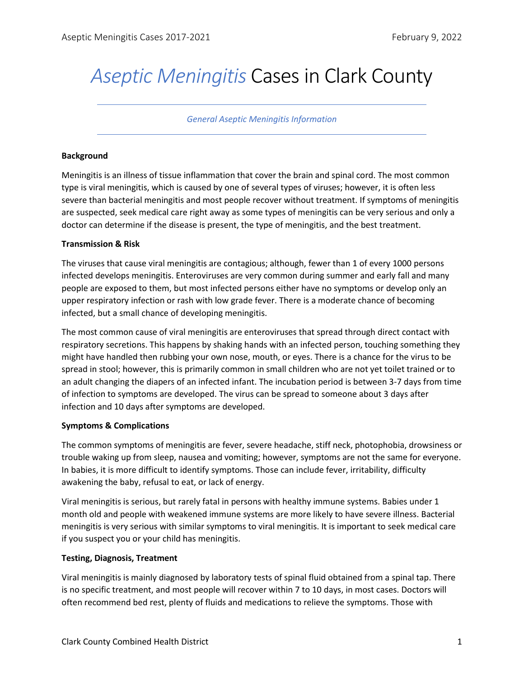# *Aseptic Meningitis* Cases in Clark County

*General Aseptic Meningitis Information*

### **Background**

Meningitis is an illness of tissue inflammation that cover the brain and spinal cord. The most common type is viral meningitis, which is caused by one of several types of viruses; however, it is often less severe than bacterial meningitis and most people recover without treatment. If symptoms of meningitis are suspected, seek medical care right away as some types of meningitis can be very serious and only a doctor can determine if the disease is present, the type of meningitis, and the best treatment.

### **Transmission & Risk**

The viruses that cause viral meningitis are contagious; although, fewer than 1 of every 1000 persons infected develops meningitis. Enteroviruses are very common during summer and early fall and many people are exposed to them, but most infected persons either have no symptoms or develop only an upper respiratory infection or rash with low grade fever. There is a moderate chance of becoming infected, but a small chance of developing meningitis.

The most common cause of viral meningitis are enteroviruses that spread through direct contact with respiratory secretions. This happens by shaking hands with an infected person, touching something they might have handled then rubbing your own nose, mouth, or eyes. There is a chance for the virus to be spread in stool; however, this is primarily common in small children who are not yet toilet trained or to an adult changing the diapers of an infected infant. The incubation period is between 3-7 days from time of infection to symptoms are developed. The virus can be spread to someone about 3 days after infection and 10 days after symptoms are developed.

# **Symptoms & Complications**

The common symptoms of meningitis are fever, severe headache, stiff neck, photophobia, drowsiness or trouble waking up from sleep, nausea and vomiting; however, symptoms are not the same for everyone. In babies, it is more difficult to identify symptoms. Those can include fever, irritability, difficulty awakening the baby, refusal to eat, or lack of energy.

Viral meningitis is serious, but rarely fatal in persons with healthy immune systems. Babies under 1 month old and people with weakened immune systems are more likely to have severe illness. Bacterial meningitis is very serious with similar symptoms to viral meningitis. It is important to seek medical care if you suspect you or your child has meningitis.

# **Testing, Diagnosis, Treatment**

Viral meningitis is mainly diagnosed by laboratory tests of spinal fluid obtained from a spinal tap. There is no specific treatment, and most people will recover within 7 to 10 days, in most cases. Doctors will often recommend bed rest, plenty of fluids and medications to relieve the symptoms. Those with